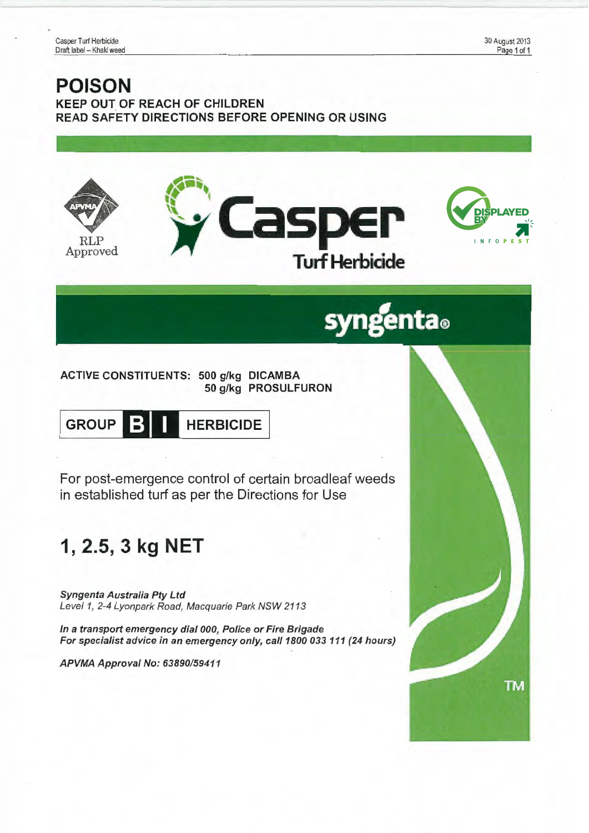30 August 2013 Page 1 of 1

### **POISON**  KEEP OUT OF REACH OF CHILDREN READ SAFETY DIRECTIONS BEFORE OPENING OR USING







# syngenta.

ACTIVE CONSTITUENTS: 500 g/kg DICAMBA 50 g/kg PROSULFURON



For post-emergence control of certain broadleaf weeds in established turf as per the Directions for Use

## **1, 2.5, 3 kg NET**

Syngenta Australia Pty Ltd Leve/1, 2-4 Lyonpark Road, Macquarie Park NSW 2113

In a transport emergency dial 000, Police or Fire Brigade For specialist advice in an emergency only, call 1800 033 111 (24 hours)

APVMA Approval No: 63890/59411

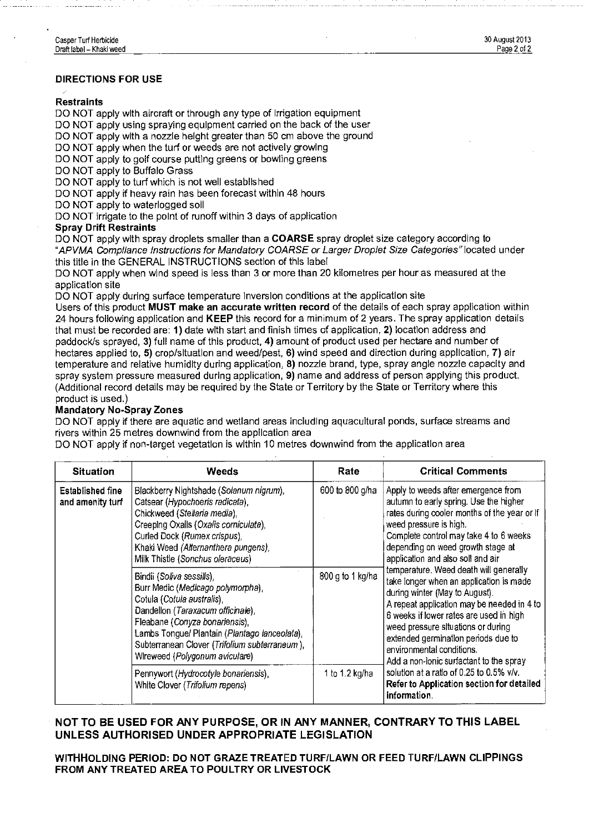#### DIRECTIONS FOR USE

#### **Restraints**

DO NOT apply with aircraft or through any type of Irrigation equipment

DO NOT apply using spraying equipment carried on the back of the user

DO NOT apply with a nozzle height greater than 50 cm above the ground

DO NOT apply when the turf or weeds are not actively growing

DO NOT apply to golf course putting greens or bowling greens

DO NOT apply to Buffalo Grass

DO NOT apply to turf which is not well established

DO NOT apply if heavy rain has been forecast within 48 hours

DO NOT apply to waterlogged soil

DO NOT irrigate to the point of runoff within 3 days of application

#### Spray Drift Restraints

DO NOT apply with spray droplets smaller than a **COARSE** spray droplet size category according to "APVMA Compliance Instructions for Mandatory COARSE or Larger Droplet Size Categories" located under this title in the GENERAL INSTRUCTIONS section of this label

DO NOT apply when wind speed is less than 3 or more than 20 kilometres per hour as measured at the application site

DO NOT apply during surface temperature Inversion conditions at the application site

Users of this product MUST make an accurate written record of the details of each spray application within 24 hours following application and KEEP this record for a minimum of 2 years. The spray application details that must be recorded are: 1) date with start and finish times of application, 2) location address and paddock/s sprayed, 3) full name of this product, 4) amount of product used per hectare and number of hectares applied to, 5) crop/situation and weed/pest, 6) wind speed and direction during application, 7) air temperature and relative humidity during application, 8) nozzle brand, type, spray angle nozzle capacity and spray system pressure measured during application, 9) name and address of person applying this product. (Additional record details may be required by the State or Territory by the State or Territory where this product is used.)

#### Mandatory No-Spray Zones

DO NOT apply if there are aquatic and wetland areas including aquacultural ponds, surface streams and rivers within 25 metres downwind from the application area

DO NOT apply if non-target vegetation is within 10 metres downwind from the application area

| <b>Situation</b>                     | Weeds                                                                                                                                                                                                                                                                                                   | Rate             | <b>Critical Comments</b>                                                                                                                                                                                                                                                                                                                                                                                                                                                                                                                                                                                                                                                                                                                                     |
|--------------------------------------|---------------------------------------------------------------------------------------------------------------------------------------------------------------------------------------------------------------------------------------------------------------------------------------------------------|------------------|--------------------------------------------------------------------------------------------------------------------------------------------------------------------------------------------------------------------------------------------------------------------------------------------------------------------------------------------------------------------------------------------------------------------------------------------------------------------------------------------------------------------------------------------------------------------------------------------------------------------------------------------------------------------------------------------------------------------------------------------------------------|
| Established fine<br>and amenity turf | Blackberry Nightshade (Solanum nigrum),<br>Catsear (Hypochoeris radicata),<br>Chickweed (Stellaria media),<br>Creeping Oxalis (Oxalis corniculata),<br>Curled Dock (Rumex crispus),<br>Khaki Weed (Alternanthera pungens),<br>Milk Thistle (Sonchus oleraceus)                                          | 600 to 800 g/ha  | Apply to weeds after emergence from<br>autumn to early spring. Use the higher<br>rates during cooler months of the year or If<br>weed pressure is high.<br>Complete control may take 4 to 6 weeks<br>depending on weed growth stage at<br>application and also soll and air<br>temperature. Weed death will generally<br>take longer when an application is made<br>during winter (May to August).<br>A repeat application may be needed in 4 to<br>6 weeks if lower rates are used in high<br>weed pressure situations or during<br>extended germination periods due to<br>environmental conditions.<br>Add a non-ionic surfactant to the spray<br>solution at a ratio of 0.25 to 0.5% $v/v$ .<br>Refer to Application section for detailed<br>information. |
|                                      | Bindii (Soliva sessilis),<br>Burr Medic (Medicago polymorpha),<br>Cotula (Cotula australis),<br>Dandellon (Taraxacum officinale),<br>Fleabane (Conyza bonariensis),<br>Lambs Tongue/ Plantain (Plantago lanceolata),<br>Subterranean Clover (Trifolium subterraneum),<br>Wireweed (Polygonum aviculare) | 800 g to 1 kg/ha |                                                                                                                                                                                                                                                                                                                                                                                                                                                                                                                                                                                                                                                                                                                                                              |
|                                      | Pennywort (Hydrocotyle bonariensis),<br>White Clover (Trifolium repens)                                                                                                                                                                                                                                 | 1 to 1.2 kg/ha   |                                                                                                                                                                                                                                                                                                                                                                                                                                                                                                                                                                                                                                                                                                                                                              |

#### NOT TO BE USED FOR ANY PURPOSE, OR IN ANY MANNER, CONTRARY TO THIS LABEL UNLESS AUTHORISED UNDER APPROPRIATE LEGISLATION

WITHHOLDING PERIOD: DO NOT GRAZE TREATED TURF/LAWN OR FEED TURF/LAWN CLIPPINGS FROM ANY TREATED AREA TO POULTRY OR LIVESTOCK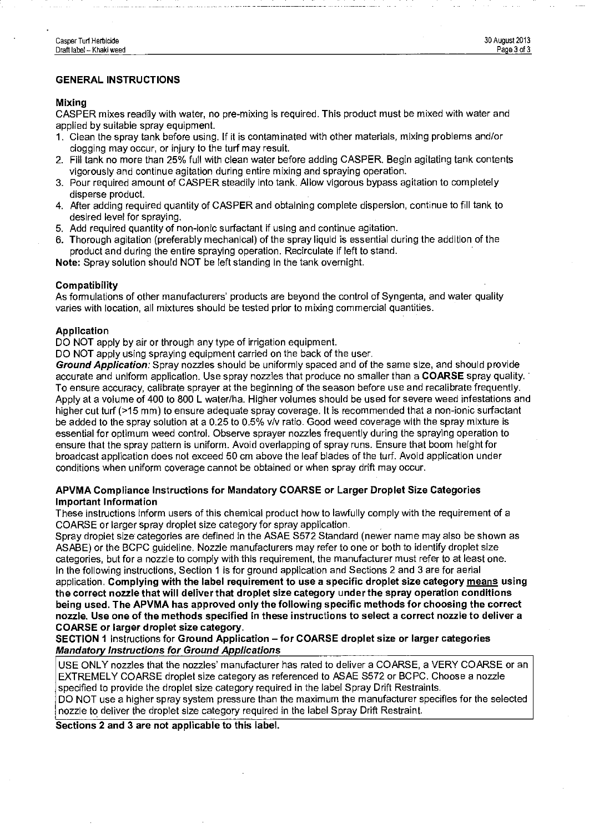#### GENERAL INSTRUCTIONS

#### Mixing

CASPER mixes readily with water, no pre-mixing is required. This product must be mixed with water and applied by suitable spray equipment.

- 1. Clean the spray tank before using. If it is contaminated with other materials, mixing problems and/or clogging may occur, or injury to the turf may result.
- 2. Fill tank no more than 25% full with clean water before adding CASPER. Begin agitating tank contents vigorously and continue agitation during entire mixing and spraying operation.
- 3. Pour required amount of CASPER steadily into tank. Allow vigorous bypass agitation to completely disperse product.
- 4. After adding required quantity of CASPER and obtaining complete dispersion, continue to fill tank to desired level for spraying.
- 5. Add required quantity of non-ionic surfactant if using and continue agitation.
- 6. Thorough agitation (preferably mechanical) of the spray liquid is essential during the addition of the product and during the entire spraying operation. Recirculate if left to stand.

Note: Spray solution should NOT be left standing in the tank overnight.

#### Compatibility

As formulations of other manufacturers' products are beyond the control of Syngenta, and water quality varies with location, all mixtures should be tested prior to mixing commercial quantities.

#### Application

DO NOT apply by air or through any type of irrigation equipment.

DO NOT apply using spraying equipment carried on the back of the user.

Ground Application: Spray nozzles should be uniformly spaced and of the same size, and should provide accurate and uniform application. Use spray nozzles that produce no smaller than a COARSE spray quality. To ensure accuracy, calibrate sprayer at the beginning of the season before use and recalibrate frequently. Apply at a volume of 400 to 800 L water/ha. Higher volumes should be used for severe weed infestations and higher cut turf (>15 mm) to ensure adequate spray coverage. It is recommended that a non-ionic surfactant be added to the spray solution at a 0.25 to 0.5% v/v ratio. Good weed coverage with the spray mixture is essential for optimum weed control. Observe sprayer nozzles frequently during the spraying operation to ensure that the spray pattern is uniform. Avoid overlapping of spray runs. Ensure that boom height for broadcast application does not exceed 50 em above the leaf blades of the turf. Avoid application under conditions when uniform coverage cannot be obtained or when spray drift may occur.

#### APVMA Compliance Instructions for Mandatory COARSE or Larger Droplet Size Categories Important Information

These instructions inform users of this chemical product how to lawfully comply with the requirement of a COARSE or larger spray droplet size category for spray application.

Spray droplet size categories are defined in the ASAE S572 Standard (newer name may also be shown as ASABE) or the BCPC guideline. Nozzle manufacturers may refer to one or both to identify droplet size categories, but for a nozzle to comply with this requirement, the manufacturer must refer to at least one. In the following instructions, Section 1 is for ground application and Sections 2 and 3 are for aerial application. Complying with the label requirement to use a specific droplet size category means using

the correct nozzle that will deliver that droplet size category under the spray operation conditions being used. The APVMA has approved only the following specific methods for choosing the correct nozzle. Use one of the methods specified in these instructions to select a correct nozzle to deliver a COARSE or larger droplet size category.

SECTION 1 Instructions for Ground Application- for COARSE droplet size or larger categories Mandatory Instructions for Ground Applications

USE ONLY nozzles that the nozzles' manufacturer has rated to deliver a COARSE, a VERY COARSE or an EXTREMELY COARSE droplet size category as referenced to ASAE S572 or BCPC. Choose a nozzle specified to provide the droplet size category required in the label Spray Drift Restraints. DO NOT use a higher spray system pressure than the maximum the manufacturer specifies for the selected nozzle to deliver the droplet size category required in the label Spray Drift Restraint.

Sections 2 and 3 are not applicable to this label.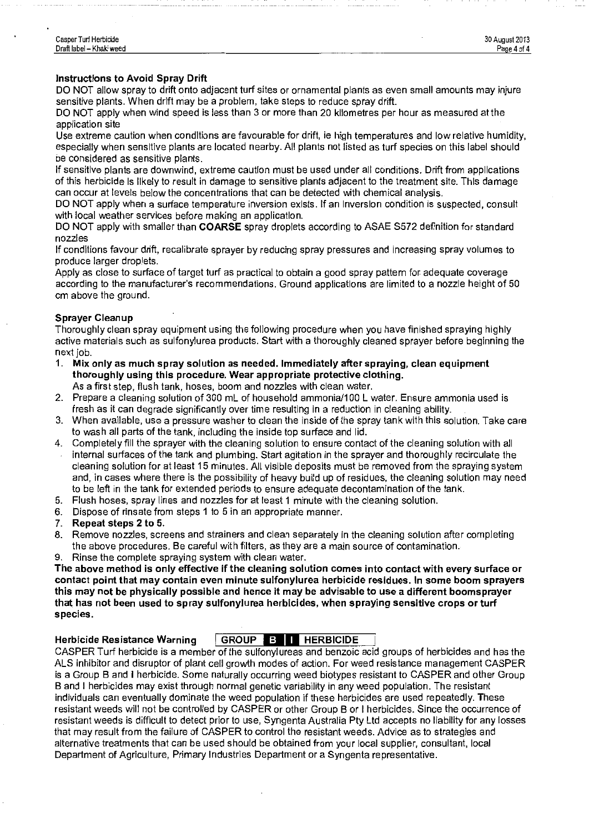#### Instructions to Avoid Spray Drift

DO NOT allow spray to drift onto adjacent turf sites or ornamental plants as even small amounts may injure sensitive plants. When drift may be a problem, take steps to reduce spray drift.

DO NOT apply when wind speed is less than 3 or more than 20 kilometres per hour as measured at the application site

Use extreme caution when conditions are favourable for drift, ie high temperatures and low relative humidity, especially when sensitive plants are located nearby. All plants not listed as turf species on this label should be considered as sensitive plants.

If sensitive plants are downwind, extreme caution must be used under all conditions. Drift from applications of this herbicide Is likely to result in damage to sensitive plants adjacent to the treatment site. This damage can occur at levels below the concentrations that can be detected with chemical analysis.

DO NOT apply when a surface temperature inversion exists. If an Inversion condition is suspected, consult with local weather services before making an application.

DO NOT apply with smaller than COARSE spray droplets according to ASAE S572 definition for standard nozzles

If conditions favour drift, recalibrate sprayer by reducing spray pressures and increasing spray volumes to produce larger droplets.

Apply as close to surface of target turf as practical to obtain a good spray pattern for adequate coverage according to the manufacturer's recommendations. Ground applications are limited to a nozzle height of 50 em above the ground.

#### Sprayer Cleanup

Thoroughly clean spray equipment using the following procedure when you have finished spraying highly active materials such as sulfonylurea products. Start with a thoroughly cleaned sprayer before beginning the next job.

1. Mix only as much spray solution as needed. Immediately after spraying, clean equipment thoroughly using this procedure. Wear appropriate protective clothing.

As a first step, fiush tank, hoses, boom and nozzles with clean water.

- 2. Prepare a cleaning solution of 300 mL of household ammonia/100 L water. Ensure ammonia used is fresh as it can degrade significantly over time resulting in a reduction in cleaning ability.
- 3. When available, use a pressure washer to clean the inside of the spray tank with this solution. Take care to wash all parts of the tank, including the inside top surface and lid.
- 4. Completely fill the sprayer with the cleaning solution to ensure contact of the cleaning solution with all internal surfaces of the tank and plumbing. Start agitation in the sprayer and thoroughly recirculate the cleaning solution for at least 15 minutes. All visible deposits must be removed from the spraying system and, in cases where there is the possibility of heavy build up of residues, the cleaning solution may need to be left in the tank for extended periods to ensure adequate decontamination of the tank.
- 5. Flush hoses, spray lines and nozzles for at least 1 minute with the cleaning solution.
- 6. Dispose of rinsate from steps 1 to 5 in an appropriate manner.
- 7. Repeat steps 2 to 5.
- 8. Remove nozzles, screens and strainers and clean separately in the cleaning solution after completing the above procedures. Be careful with filters, as they are a main source of contamination.
- 9. Rinse the complete spraying system with clean water.

The above method is only effective if the cleaning solution comes into contact with every surface or contact point that may contain even minute sulfonylurea herbicide residues. In some boom sprayers this may not be physically possible and hence it may be advisable to use a different boomsprayer that has not been used to spray sulfonylurea herbicides, when spraying sensitive crops or turf species.

#### Herbicide Resistance Warning | GROUP **1:10 I HERBICIDE**

CASPER Turf herbicide is a member of the sulfonylureas and benzoic acid groups of herbicides and has the ALS inhibitor and disruptor of plant cell growth modes of action. For weed resistance management CASPER is a Group B and I herbicide. Some naturally occurring weed biotypes resistant to CASPER and other Group B and I herbicides may exist through normal genetic variability in any weed population. The resistant individuals can eventually dominate the weed population if these herbicides are used repeatedly. These resistant weeds will not be controlled by CASPER or other Group B or I herbicides. Since the occurrence of resistant weeds is difficult to detect prior to use, Syngenta Australia Pty Ltd accepts no liability for any losses that may result from the failure of CASPER to control the resistant weeds. Advice as to strategies and alternative treatments that can be used should be obtained from your local supplier, consultant, local Department of Agriculture, Primary Industries Department or a Syngenta representative.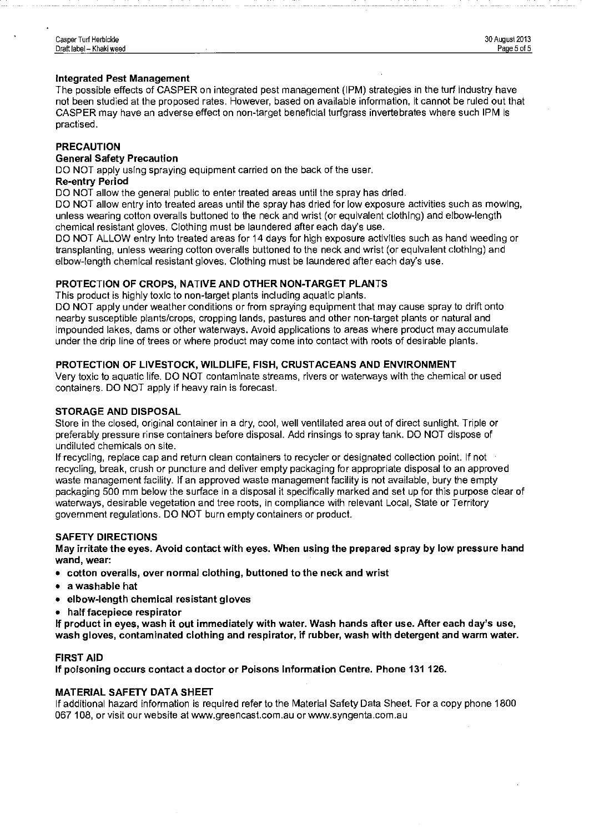#### **Integrated Pest Management**

The possible effects of CASPER on integrated pest management {I **PM)** strategies in the turf industry have not been studied at the proposed rates. However, based on available information, it cannot be ruled out that CASPER may have an adverse effect on non-target beneficial turfgrass invertebrates where such IPM is practised.

#### **PRECAUTION**

#### **General Safety Precaution**

DO NOT apply using spraying equipment carried on the back of the user.

#### **Re-entry Period**

DO NOT allow the general public to enter treated areas until the spray has dried.

DO NOT allow entry into treated areas until the spray has dried for low exposure activities such as mowing, unless wearing cotton overalls buttoned to the neck and wrist (or equivalent clothing) and elbow-length chemical resistant gloves. Clothing must be laundered after each day's use.

DO NOT ALLOW entry Into treated areas for 14 days for high exposure activities such as hand weeding or transplanting, unless wearing cotton overalls buttoned to the neck and wrist (or equivalent clothing) and elbow-length chemical resistant gloves. Clothing must be laundered after each day's use.

#### **PROTECTION OF CROPS, NATIVE AND OTHER NON-TARGET PLANTS**

This product is highly toxic to non-target plants including aquatic plants.

DO NOT apply under weather conditions or from spraying equipment that may cause spray to drift onto nearby susceptible plants/crops, cropping lands, pastures and other non-target plants or natural and impounded lakes, dams or other waterways. Avoid applications to areas where product may accumulate under the drip line of trees or where product may come into contact with roots of desirable plants.

#### **PROTECTION OF LIVESTOCK, WILDLIFE, FISH, CRUSTACEANS AND ENVIRONMENT**

Very toxic to aquatic life. DO NOT contaminate streams, rivers or waterways with the chemical or used containers. DO NOT apply if heavy rain is forecast.

#### **STORAGE AND DISPOSAL**

Store in the closed, original container in a dry, cool, well ventilated area out of direct sunlight. Triple or preferably pressure rinse containers before disposal. Add rinsings to spray tank. DO NOT dispose of undiluted chemicals on site.

If recycling, replace cap and return clean containers to recycler or designated collection point. If not recycling, break, crush or puncture and deliver empty packaging for appropriate disposal to an approved waste management facility. If an approved waste management facility is not available, bury the empty packaging 500 mm below the surface in a disposal it specifically marked and set up for this purpose clear of waterways, desirable vegetation and tree roots, in compliance with relevant Local, State or Territory government regulations. DO NOT burn empty containers or product.

#### **SAFETY DIRECTIONS**

**May irritate the eyes. Avoid contact with eyes. When using the prepared spray by low pressure hand wand, wear:** 

- **cotton overalls, over normal clothing, buttoned to the neck and wrist**
- **a washable hat**
- **elbow-length chemical resistant gloves**
- **halffacepiece respirator**

**If product in eyes, wash it out immediately with water. Wash hands after use. After each day's use, wash gloves, contaminated clothing and respirator, if rubber, wash with detergent and warm water.** 

#### **FIRST AID**

**If poisoning occurs contact a doctor or Poisons Information Centre. Phone 131 126.** 

#### **MATERIAL SAFETY DATA SHEET**

If additional hazard information is required refer to the Material Safety Data Sheet. For a copy phone 1800 067 108, or visit our website at www.greencast.com.au or www.syngenta.com.au